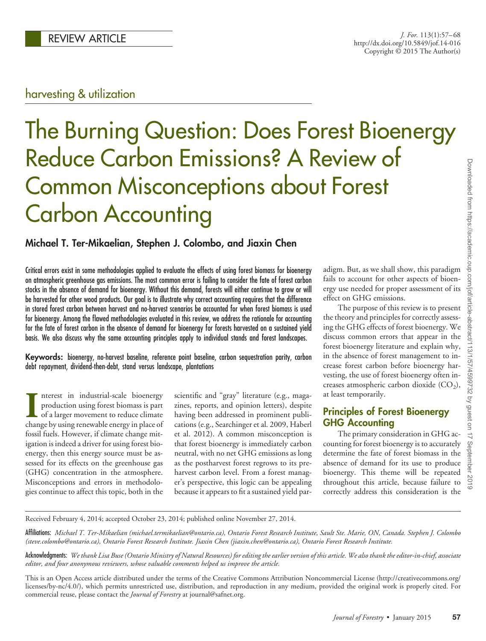## harvesting & utilization

# The Burning Question: Does Forest Bioenergy Reduce Carbon Emissions? A Review of Common Misconceptions about Forest Carbon Accounting

## **Michael T. Ter-Mikaelian, Stephen J. Colombo, and Jiaxin Chen**

Critical errors exist in some methodologies applied to evaluate the effects of using forest biomass for bioenergy on atmospheric greenhouse gas emissions. The most common error is failing to consider the fate of forest carbon stocks in the absence of demand for bioenergy. Without this demand, forests will either continue to grow or will be harvested for other wood products. Our goal is to illustrate why correct accounting requires that the difference in stored forest carbon between harvest and no-harvest scenarios be accounted for when forest biomass is used for bioenergy. Among the flawed methodologies evaluated in this review, we address the rationale for accounting for the fate of forest carbon in the absence of demand for bioenergy for forests harvested on a sustained yield basis. We also discuss why the same accounting principles apply to individual stands and forest landscapes.

**Keywords:** bioenergy, no-harvest baseline, reference point baseline, carbon sequestration parity, carbon debt repayment, dividend-then-debt, stand versus landscape, plantations

Interest in industrial-scale bioenergy production using forest biomass is part of a larger movement to reduce climate change by using renewable energy in place of nterest in industrial-scale bioenergy production using forest biomass is part of a larger movement to reduce climate fossil fuels. However, if climate change mitigation is indeed a driver for using forest bioenergy, then this energy source must be assessed for its effects on the greenhouse gas (GHG) concentration in the atmosphere. Misconceptions and errors in methodologies continue to affect this topic, both in the

scientific and "gray" literature (e.g., magazines, reports, and opinion letters), despite having been addressed in prominent publications (e.g., Searchinger et al. 2009, Haberl et al. 2012). A common misconception is that forest bioenergy is immediately carbon neutral, with no net GHG emissions as long as the postharvest forest regrows to its preharvest carbon level. From a forest manager's perspective, this logic can be appealing because it appears to fit a sustained yield par-

adigm. But, as we shall show, this paradigm fails to account for other aspects of bioenergy use needed for proper assessment of its effect on GHG emissions.

The purpose of this review is to present the theory and principles for correctly assessing the GHG effects of forest bioenergy. We discuss common errors that appear in the forest bioenergy literature and explain why, in the absence of forest management to increase forest carbon before bioenergy harvesting, the use of forest bioenergy often increases atmospheric carbon dioxide  $(CO<sub>2</sub>)$ , at least temporarily.

## **Principles of Forest Bioenergy GHG Accounting**

The primary consideration in GHG accounting for forest bioenergy is to accurately determine the fate of forest biomass in the absence of demand for its use to produce bioenergy. This theme will be repeated throughout this article, because failure to correctly address this consideration is the

Received February 4, 2014; accepted October 23, 2014; published online November 27, 2014.

Affiliations: *Michael T. Ter-Mikaelian (michael.termikaelian@ontario.ca), Ontario Forest Research Institute, Sault Ste. Marie, ON, Canada. Stephen J. Colombo (steve.colombo@ontario.ca), Ontario Forest Research Institute. Jiaxin Chen (jiaxin.chen@ontario.ca), Ontario Forest Research Institute.*

Acknowledgments: *We thank Lisa Buse (Ontario Ministry of Natural Resources) for editing the earlier version of this article. We also thank the editor-in-chief, associate editor, and four anonymous reviewers, whose valuable comments helped us improve the article.*

This is an Open Access article distributed under the terms of the Creative Commons Attribution Noncommercial License (http://creativecommons.org/ licenses/by-nc/4.0/), which permits unrestricted use, distribution, and reproduction in any medium, provided the original work is properly cited. For commercial reuse, please contact the *Journal of Forestry* at journal@safnet.org.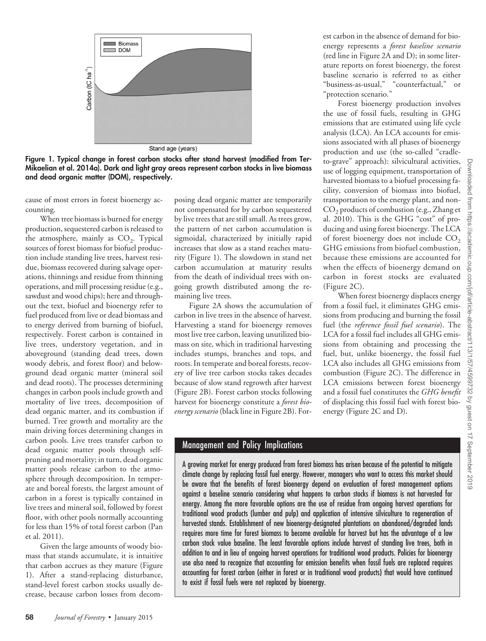

**Figure 1. Typical change in forest carbon stocks after stand harvest (modified from Ter-Mikaelian et al. 2014a). Dark and light gray areas represent carbon stocks in live biomass and dead organic matter (DOM), respectively.**

cause of most errors in forest bioenergy accounting.

When tree biomass is burned for energy production, sequestered carbon is released to the atmosphere, mainly as  $CO<sub>2</sub>$ . Typical sources of forest biomass for biofuel production include standing live trees, harvest residue, biomass recovered during salvage operations, thinnings and residue from thinning operations, and mill processing residue (e.g., sawdust and wood chips); here and throughout the text, biofuel and bioenergy refer to fuel produced from live or dead biomass and to energy derived from burning of biofuel, respectively. Forest carbon is contained in live trees, understory vegetation, and in aboveground (standing dead trees, down woody debris, and forest floor) and belowground dead organic matter (mineral soil and dead roots). The processes determining changes in carbon pools include growth and mortality of live trees, decomposition of dead organic matter, and its combustion if burned. Tree growth and mortality are the main driving forces determining changes in carbon pools. Live trees transfer carbon to dead organic matter pools through selfpruning and mortality; in turn, dead organic matter pools release carbon to the atmosphere through decomposition. In temperate and boreal forests, the largest amount of carbon in a forest is typically contained in live trees and mineral soil, followed by forest floor, with other pools normally accounting for less than 15% of total forest carbon (Pan et al. 2011).

Given the large amounts of woody biomass that stands accumulate, it is intuitive that carbon accrues as they mature (Figure 1). After a stand-replacing disturbance, stand-level forest carbon stocks usually decrease, because carbon losses from decom-

posing dead organic matter are temporarily not compensated for by carbon sequestered by live trees that are still small. As trees grow, the pattern of net carbon accumulation is sigmoidal, characterized by initially rapid increases that slow as a stand reaches maturity (Figure 1). The slowdown in stand net carbon accumulation at maturity results from the death of individual trees with ongoing growth distributed among the remaining live trees.

Figure 2A shows the accumulation of carbon in live trees in the absence of harvest. Harvesting a stand for bioenergy removes most live tree carbon, leaving unutilized biomass on site, which in traditional harvesting includes stumps, branches and tops, and roots. In temperate and boreal forests, recovery of live tree carbon stocks takes decades because of slow stand regrowth after harvest (Figure 2B). Forest carbon stocks following harvest for bioenergy constitute a *forest bioenergy scenario* (black line in Figure 2B). For-

est carbon in the absence of demand for bioenergy represents a *forest baseline scenario* (red line in Figure 2A and D); in some literature reports on forest bioenergy, the forest baseline scenario is referred to as either "business-as-usual," "counterfactual," or "protection scenario."

Forest bioenergy production involves the use of fossil fuels, resulting in GHG emissions that are estimated using life cycle analysis (LCA). An LCA accounts for emissions associated with all phases of bioenergy production and use (the so-called "cradleto-grave" approach): silvicultural activities, use of logging equipment, transportation of harvested biomass to a biofuel processing facility, conversion of biomass into biofuel, transportation to the energy plant, and non-CO2 products of combustion (e.g., Zhang et al. 2010). This is the GHG "cost" of producing and using forest bioenergy. The LCA of forest bioenergy does not include  $CO<sub>2</sub>$ GHG emissions from biofuel combustion, because these emissions are accounted for when the effects of bioenergy demand on carbon in forest stocks are evaluated (Figure 2C).

When forest bioenergy displaces energy from a fossil fuel, it eliminates GHG emissions from producing and burning the fossil fuel (the *reference fossil fuel scenario*). The LCA for a fossil fuel includes all GHG emissions from obtaining and processing the fuel, but, unlike bioenergy, the fossil fuel LCA also includes all GHG emissions from combustion (Figure 2C). The difference in LCA emissions between forest bioenergy and a fossil fuel constitutes the *GHG benefit* of displacing this fossil fuel with forest bioenergy (Figure 2C and D).

### Management and Policy Implications

A growing market for energy produced from forest biomass has arisen because of the potential to mitigate climate change by replacing fossil fuel energy. However, managers who want to access this market should be aware that the benefits of forest bioenergy depend on evaluation of forest management options against a baseline scenario considering what happens to carbon stocks if biomass is not harvested for energy. Among the more favorable options are the use of residue from ongoing harvest operations for traditional wood products (lumber and pulp) and application of intensive silviculture to regeneration of harvested stands. Establishment of new bioenergy-designated plantations on abandoned/degraded lands requires more time for forest biomass to become available for harvest but has the advantage of a low carbon stock value baseline. The least favorable options include harvest of standing live trees, both in addition to and in lieu of ongoing harvest operations for traditional wood products. Policies for bioenergy use also need to recognize that accounting for emission benefits when fossil fuels are replaced requires accounting for forest carbon (either in forest or in traditional wood products) that would have continued to exist if fossil fuels were not replaced by bioenergy.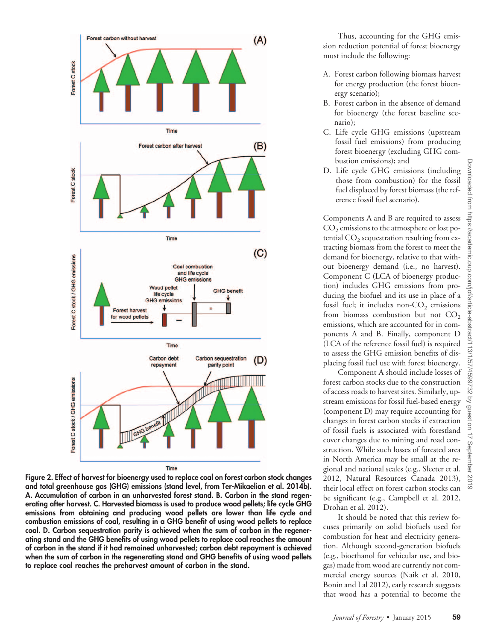

**Figure 2. Effect of harvest for bioenergy used to replace coal on forest carbon stock changes and total greenhouse gas (GHG) emissions (stand level, from Ter-Mikaelian et al. 2014b). A. Accumulation of carbon in an unharvested forest stand. B. Carbon in the stand regenerating after harvest. C. Harvested biomass is used to produce wood pellets; life cycle GHG emissions from obtaining and producing wood pellets are lower than life cycle and combustion emissions of coal, resulting in a GHG benefit of using wood pellets to replace coal. D. Carbon sequestration parity is achieved when the sum of carbon in the regenerating stand and the GHG benefits of using wood pellets to replace coal reaches the amount of carbon in the stand if it had remained unharvested; carbon debt repayment is achieved when the sum of carbon in the regenerating stand and GHG benefits of using wood pellets to replace coal reaches the preharvest amount of carbon in the stand.**

Thus, accounting for the GHG emission reduction potential of forest bioenergy must include the following:

- A. Forest carbon following biomass harvest for energy production (the forest bioenergy scenario);
- B. Forest carbon in the absence of demand for bioenergy (the forest baseline scenario);
- C. Life cycle GHG emissions (upstream fossil fuel emissions) from producing forest bioenergy (excluding GHG combustion emissions); and
- D. Life cycle GHG emissions (including those from combustion) for the fossil fuel displaced by forest biomass (the reference fossil fuel scenario).

Components A and B are required to assess  $CO<sub>2</sub>$  emissions to the atmosphere or lost potential  $CO<sub>2</sub>$  sequestration resulting from extracting biomass from the forest to meet the demand for bioenergy, relative to that without bioenergy demand (i.e., no harvest). Component C (LCA of bioenergy production) includes GHG emissions from producing the biofuel and its use in place of a fossil fuel; it includes non- $CO<sub>2</sub>$  emissions from biomass combustion but not  $CO<sub>2</sub>$ emissions, which are accounted for in components A and B. Finally, component D (LCA of the reference fossil fuel) is required to assess the GHG emission benefits of displacing fossil fuel use with forest bioenergy.

Component A should include losses of forest carbon stocks due to the construction of access roads to harvest sites. Similarly, upstream emissions for fossil fuel-based energy (component D) may require accounting for changes in forest carbon stocks if extraction of fossil fuels is associated with forestland cover changes due to mining and road construction. While such losses of forested area in North America may be small at the regional and national scales (e.g., Sleeter et al. 2012, Natural Resources Canada 2013), their local effect on forest carbon stocks can be significant (e.g., Campbell et al. 2012, Drohan et al. 2012).

It should be noted that this review focuses primarily on solid biofuels used for combustion for heat and electricity generation. Although second-generation biofuels (e.g., bioethanol for vehicular use, and biogas) made from wood are currently not commercial energy sources (Naik et al. 2010, Bonin and Lal 2012), early research suggests that wood has a potential to become the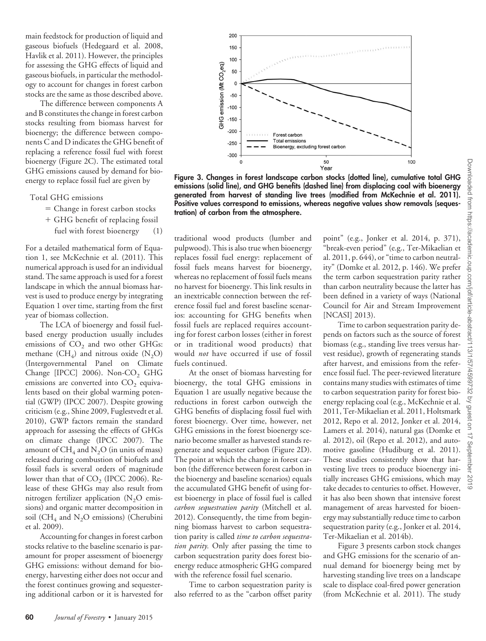main feedstock for production of liquid and gaseous biofuels (Hedegaard et al. 2008, Havlik et al. 2011). However, the principles for assessing the GHG effects of liquid and gaseous biofuels, in particular the methodology to account for changes in forest carbon stocks are the same as those described above.

The difference between components A and B constitutes the change in forest carbon stocks resulting from biomass harvest for bioenergy; the difference between components C and D indicates the GHG benefit of replacing a reference fossil fuel with forest bioenergy (Figure 2C). The estimated total GHG emissions caused by demand for bioenergy to replace fossil fuel are given by

Total GHG emissions

- = Change in forest carbon stocks
- + GHG benefit of replacing fossil fuel with forest bioenergy (1)

For a detailed mathematical form of Equation 1, see McKechnie et al. (2011). This numerical approach is used for an individual stand. The same approach is used for a forest landscape in which the annual biomass harvest is used to produce energy by integrating Equation 1 over time, starting from the first year of biomass collection.

The LCA of bioenergy and fossil fuelbased energy production usually includes emissions of  $CO<sub>2</sub>$  and two other GHGs: methane  $(CH_4)$  and nitrous oxide  $(N_2O)$ (Intergovernmental Panel on Climate Change [IPCC] 2006). Non-CO<sub>2</sub> GHG emissions are converted into  $CO<sub>2</sub>$  equivalents based on their global warming potential (GWP) (IPCC 2007). Despite growing criticism (e.g., Shine 2009, Fuglestvedt et al. 2010), GWP factors remain the standard approach for assessing the effects of GHGs on climate change (IPCC 2007). The amount of  $CH_4$  and N<sub>2</sub>O (in units of mass) released during combustion of biofuels and fossil fuels is several orders of magnitude lower than that of  $CO<sub>2</sub>$  (IPCC 2006). Release of these GHGs may also result from nitrogen fertilizer application  $(N_2O)$  emissions) and organic matter decomposition in soil (CH<sub>4</sub> and N<sub>2</sub>O emissions) (Cherubini et al. 2009).

Accounting for changes in forest carbon stocks relative to the baseline scenario is paramount for proper assessment of bioenergy GHG emissions: without demand for bioenergy, harvesting either does not occur and the forest continues growing and sequestering additional carbon or it is harvested for traditional wood products (lumber and pulpwood). This is also true when bioenergy replaces fossil fuel energy: replacement of fossil fuels means harvest for bioenergy, whereas no replacement of fossil fuels means no harvest for bioenergy. This link results in an inextricable connection between the reference fossil fuel and forest baseline scenarios: accounting for GHG benefits when fossil fuels are replaced requires accounting for forest carbon losses (either in forest or in traditional wood products) that would *not* have occurred if use of fossil fuels continued.

At the onset of biomass harvesting for bioenergy, the total GHG emissions in Equation 1 are usually negative because the reductions in forest carbon outweigh the GHG benefits of displacing fossil fuel with forest bioenergy. Over time, however, net GHG emissions in the forest bioenergy scenario become smaller as harvested stands regenerate and sequester carbon (Figure 2D). The point at which the change in forest carbon (the difference between forest carbon in the bioenergy and baseline scenarios) equals the accumulated GHG benefit of using forest bioenergy in place of fossil fuel is called *carbon sequestration parity* (Mitchell et al. 2012). Consequently, the time from beginning biomass harvest to carbon sequestration parity is called *time to carbon sequestration parity.* Only after passing the time to carbon sequestration parity does forest bioenergy reduce atmospheric GHG compared with the reference fossil fuel scenario.

Time to carbon sequestration parity is also referred to as the "carbon offset parity

point" (e.g., Jonker et al. 2014, p. 371), "break-even period" (e.g., Ter-Mikaelian et al. 2011, p. 644), or "time to carbon neutrality" (Domke et al. 2012, p. 146). We prefer the term carbon sequestration parity rather than carbon neutrality because the latter has been defined in a variety of ways (National Council for Air and Stream Improvement [NCASI] 2013).

Time to carbon sequestration parity depends on factors such as the source of forest biomass (e.g., standing live trees versus harvest residue), growth of regenerating stands after harvest, and emissions from the reference fossil fuel. The peer-reviewed literature contains many studies with estimates of time to carbon sequestration parity for forest bioenergy replacing coal (e.g., McKechnie et al. 2011, Ter-Mikaelian et al. 2011, Holtsmark 2012, Repo et al. 2012, Jonker et al. 2014, Lamers et al. 2014), natural gas (Domke et al. 2012), oil (Repo et al. 2012), and automotive gasoline (Hudiburg et al. 2011). These studies consistently show that harvesting live trees to produce bioenergy initially increases GHG emissions, which may take decades to centuries to offset. However, it has also been shown that intensive forest management of areas harvested for bioenergy may substantially reduce time to carbon sequestration parity (e.g., Jonker et al. 2014, Ter-Mikaelian et al. 2014b).

Figure 3 presents carbon stock changes and GHG emissions for the scenario of annual demand for bioenergy being met by harvesting standing live trees on a landscape scale to displace coal-fired power generation (from McKechnie et al. 2011). The study



**Figure 3. Changes in forest landscape carbon stocks (dotted line), cumulative total GHG emissions (solid line), and GHG benefits (dashed line) from displacing coal with bioenergy generated from harvest of standing live trees (modified from McKechnie et al. 2011). Positive values correspond to emissions, whereas negative values show removals (sequestration) of carbon from the atmosphere.**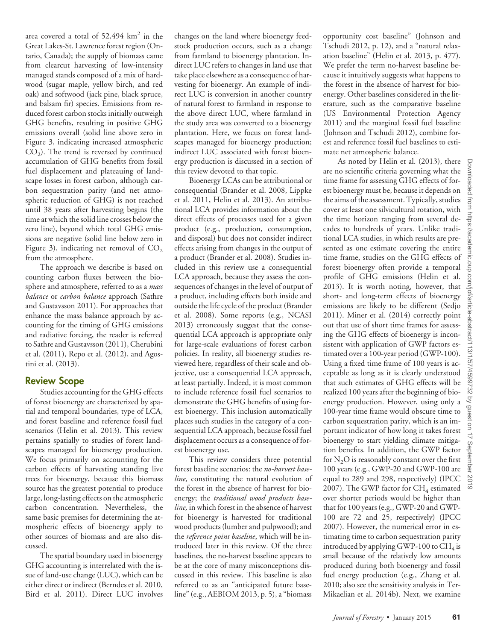area covered a total of  $52,494$  km<sup>2</sup> in the Great Lakes-St. Lawrence forest region (Ontario, Canada); the supply of biomass came from clearcut harvesting of low-intensity managed stands composed of a mix of hardwood (sugar maple, yellow birch, and red oak) and softwood (jack pine, black spruce, and balsam fir) species. Emissions from reduced forest carbon stocks initially outweigh GHG benefits, resulting in positive GHG emissions overall (solid line above zero in Figure 3, indicating increased atmospheric  $CO<sub>2</sub>$ ). The trend is reversed by continued accumulation of GHG benefits from fossil fuel displacement and plateauing of landscape losses in forest carbon, although carbon sequestration parity (and net atmospheric reduction of GHG) is not reached until 38 years after harvesting begins (the time at which the solid line crosses below the zero line), beyond which total GHG emissions are negative (solid line below zero in Figure 3), indicating net removal of  $CO<sub>2</sub>$ from the atmosphere.

The approach we describe is based on counting carbon fluxes between the biosphere and atmosphere, referred to as a *mass balance* or *carbon balance* approach (Sathre and Gustavsson 2011). For approaches that enhance the mass balance approach by accounting for the timing of GHG emissions and radiative forcing, the reader is referred to Sathre and Gustavsson (2011), Cherubini et al. (2011), Repo et al. (2012), and Agostini et al. (2013).

#### **Review Scope**

Studies accounting for the GHG effects of forest bioenergy are characterized by spatial and temporal boundaries, type of LCA, and forest baseline and reference fossil fuel scenarios (Helin et al. 2013). This review pertains spatially to studies of forest landscapes managed for bioenergy production. We focus primarily on accounting for the carbon effects of harvesting standing live trees for bioenergy, because this biomass source has the greatest potential to produce large, long-lasting effects on the atmospheric carbon concentration. Nevertheless, the same basic premises for determining the atmospheric effects of bioenergy apply to other sources of biomass and are also discussed.

The spatial boundary used in bioenergy GHG accounting is interrelated with the issue of land-use change (LUC), which can be either direct or indirect (Berndes et al. 2010, Bird et al. 2011). Direct LUC involves changes on the land where bioenergy feedstock production occurs, such as a change from farmland to bioenergy plantation. Indirect LUC refers to changes in land use that take place elsewhere as a consequence of harvesting for bioenergy. An example of indirect LUC is conversion in another country of natural forest to farmland in response to the above direct LUC, where farmland in the study area was converted to a bioenergy plantation. Here, we focus on forest landscapes managed for bioenergy production; indirect LUC associated with forest bioenergy production is discussed in a section of this review devoted to that topic.

Bioenergy LCAs can be attributional or consequential (Brander et al. 2008, Lippke et al. 2011, Helin et al. 2013). An attributional LCA provides information about the direct effects of processes used for a given product (e.g., production, consumption, and disposal) but does not consider indirect effects arising from changes in the output of a product (Brander et al. 2008). Studies included in this review use a consequential LCA approach, because they assess the consequences of changes in the level of output of a product, including effects both inside and outside the life cycle of the product (Brander et al. 2008). Some reports (e.g., NCASI 2013) erroneously suggest that the consequential LCA approach is appropriate only for large-scale evaluations of forest carbon policies. In reality, all bioenergy studies reviewed here, regardless of their scale and objective, use a consequential LCA approach, at least partially. Indeed, it is most common to include reference fossil fuel scenarios to demonstrate the GHG benefits of using forest bioenergy. This inclusion automatically places such studies in the category of a consequential LCA approach, because fossil fuel displacement occurs as a consequence of forest bioenergy use.

This review considers three potential forest baseline scenarios: the *no-harvest baseline,* constituting the natural evolution of the forest in the absence of harvest for bioenergy; the *traditional wood products baseline,* in which forest in the absence of harvest for bioenergy is harvested for traditional wood products (lumber and pulpwood); and the *reference point baseline*, which will be introduced later in this review. Of the three baselines, the no-harvest baseline appears to be at the core of many misconceptions discussed in this review. This baseline is also referred to as an "anticipated future baseline" (e.g., AEBIOM 2013, p. 5), a "biomass

opportunity cost baseline" (Johnson and Tschudi 2012, p. 12), and a "natural relaxation baseline" (Helin et al. 2013, p. 477). We prefer the term no-harvest baseline because it intuitively suggests what happens to the forest in the absence of harvest for bioenergy. Other baselines considered in the literature, such as the comparative baseline (US Environmental Protection Agency 2011) and the marginal fossil fuel baseline (Johnson and Tschudi 2012), combine forest and reference fossil fuel baselines to estimate net atmospheric balance.

As noted by Helin et al. (2013), there are no scientific criteria governing what the time frame for assessing GHG effects of forest bioenergy must be, because it depends on the aims of the assessment. Typically, studies cover at least one silvicultural rotation, with the time horizon ranging from several decades to hundreds of years. Unlike traditional LCA studies, in which results are presented as one estimate covering the entire time frame, studies on the GHG effects of forest bioenergy often provide a temporal profile of GHG emissions (Helin et al. 2013). It is worth noting, however, that short- and long-term effects of bioenergy emissions are likely to be different (Sedjo 2011). Miner et al. (2014) correctly point out that use of short time frames for assessing the GHG effects of bioenergy is inconsistent with application of GWP factors estimated over a 100-year period (GWP-100). Using a fixed time frame of 100 years is acceptable as long as it is clearly understood that such estimates of GHG effects will be realized 100 years after the beginning of bioenergy production. However, using only a 100-year time frame would obscure time to carbon sequestration parity, which is an important indicator of how long it takes forest bioenergy to start yielding climate mitigation benefits. In addition, the GWP factor for  $N_2O$  is reasonably constant over the first 100 years (e.g., GWP-20 and GWP-100 are equal to 289 and 298, respectively) (IPCC 2007). The GWP factor for  $CH_4$  estimated over shorter periods would be higher than that for 100 years (e.g., GWP-20 and GWP-100 are 72 and 25, respectively) (IPCC 2007). However, the numerical error in estimating time to carbon sequestration parity introduced by applying GWP-100 to  $CH_4$  is small because of the relatively low amounts produced during both bioenergy and fossil fuel energy production (e.g., Zhang et al. 2010; also see the sensitivity analysis in Ter-Mikaelian et al. 2014b). Next, we examine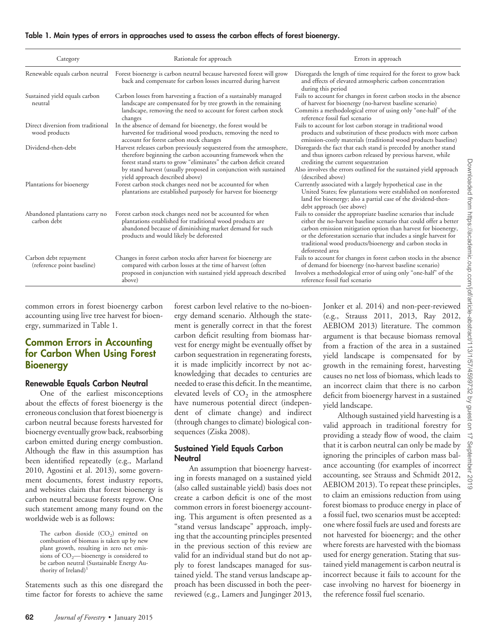#### **Table 1. Main types of errors in approaches used to assess the carbon effects of forest bioenergy.**

| Category                                            | Rationale for approach                                                                                                                                                                                                                                                                                            | Errors in approach                                                                                                                                                                                                                                                                                                                                         |
|-----------------------------------------------------|-------------------------------------------------------------------------------------------------------------------------------------------------------------------------------------------------------------------------------------------------------------------------------------------------------------------|------------------------------------------------------------------------------------------------------------------------------------------------------------------------------------------------------------------------------------------------------------------------------------------------------------------------------------------------------------|
| Renewable equals carbon neutral                     | Forest bioenergy is carbon neutral because harvested forest will grow<br>back and compensate for carbon losses incurred during harvest                                                                                                                                                                            | Disregards the length of time required for the forest to grow back<br>and effects of elevated atmospheric carbon concentration<br>during this period                                                                                                                                                                                                       |
| Sustained yield equals carbon<br>neutral            | Carbon losses from harvesting a fraction of a sustainably managed<br>landscape are compensated for by tree growth in the remaining<br>landscape, removing the need to account for forest carbon stock<br>changes                                                                                                  | Fails to account for changes in forest carbon stocks in the absence<br>of harvest for bioenergy (no-harvest baseline scenario)<br>Commits a methodological error of using only "one-half" of the<br>reference fossil fuel scenario                                                                                                                         |
| Direct diversion from traditional<br>wood products  | In the absence of demand for bioenergy, the forest would be<br>harvested for traditional wood products, removing the need to<br>account for forest carbon stock changes                                                                                                                                           | Fails to account for lost carbon storage in traditional wood<br>products and substitution of these products with more carbon<br>emission-costly materials (traditional wood products baseline)                                                                                                                                                             |
| Dividend-then-debt                                  | Harvest releases carbon previously sequestered from the atmosphere,<br>therefore beginning the carbon accounting framework when the<br>forest stand starts to grow "eliminates" the carbon deficit created<br>by stand harvest (usually proposed in conjunction with sustained<br>yield approach described above) | Disregards the fact that each stand is preceded by another stand<br>and thus ignores carbon released by previous harvest, while<br>crediting the current sequestration<br>Also involves the errors outlined for the sustained yield approach<br>(described above)                                                                                          |
| Plantations for bioenergy                           | Forest carbon stock changes need not be accounted for when<br>plantations are established purposely for harvest for bioenergy                                                                                                                                                                                     | Currently associated with a largely hypothetical case in the<br>United States; few plantations were established on nonforested<br>land for bioenergy; also a partial case of the dividend-then-<br>debt approach (see above)                                                                                                                               |
| Abandoned plantations carry no<br>carbon debt       | Forest carbon stock changes need not be accounted for when<br>plantations established for traditional wood products are<br>abandoned because of diminishing market demand for such<br>products and would likely be deforested                                                                                     | Fails to consider the appropriate baseline scenarios that include<br>either the no-harvest baseline scenario that could offer a better<br>carbon emission mitigation option than harvest for bioenergy,<br>or the deforestation scenario that includes a single harvest for<br>traditional wood products/bioenergy and carbon stocks in<br>deforested area |
| Carbon debt repayment<br>(reference point baseline) | Changes in forest carbon stocks after harvest for bioenergy are<br>compared with carbon losses at the time of harvest (often<br>proposed in conjunction with sustained yield approach described<br>above)                                                                                                         | Fails to account for changes in forest carbon stocks in the absence<br>of demand for bioenergy (no-harvest baseline scenario)<br>Involves a methodological error of using only "one-half" of the<br>reference fossil fuel scenario                                                                                                                         |

common errors in forest bioenergy carbon accounting using live tree harvest for bioenergy, summarized in Table 1.

## **Common Errors in Accounting for Carbon When Using Forest Bioenergy**

#### **Renewable Equals Carbon Neutral**

One of the earliest misconceptions about the effects of forest bioenergy is the erroneous conclusion that forest bioenergy is carbon neutral because forests harvested for bioenergy eventually grow back, reabsorbing carbon emitted during energy combustion. Although the flaw in this assumption has been identified repeatedly (e.g., Marland 2010, Agostini et al. 2013), some government documents, forest industry reports, and websites claim that forest bioenergy is carbon neutral because forests regrow. One such statement among many found on the worldwide web is as follows:

> The carbon dioxide  $(CO<sub>2</sub>)$  emitted on combustion of biomass is taken up by new plant growth, resulting in zero net emissions of  $CO<sub>2</sub>$ — bioenergy is considered to be carbon neutral (Sustainable Energy Authority of Ireland)<sup>1</sup>

Statements such as this one disregard the time factor for forests to achieve the same forest carbon level relative to the no-bioenergy demand scenario. Although the statement is generally correct in that the forest carbon deficit resulting from biomass harvest for energy might be eventually offset by carbon sequestration in regenerating forests, it is made implicitly incorrect by not acknowledging that decades to centuries are needed to erase this deficit. In the meantime, elevated levels of  $CO<sub>2</sub>$  in the atmosphere have numerous potential direct (independent of climate change) and indirect (through changes to climate) biological consequences (Ziska 2008).

#### **Sustained Yield Equals Carbon Neutral**

An assumption that bioenergy harvesting in forests managed on a sustained yield (also called sustainable yield) basis does not create a carbon deficit is one of the most common errors in forest bioenergy accounting. This argument is often presented as a "stand versus landscape" approach, implying that the accounting principles presented in the previous section of this review are valid for an individual stand but do not apply to forest landscapes managed for sustained yield. The stand versus landscape approach has been discussed in both the peerreviewed (e.g., Lamers and Junginger 2013,

Jonker et al. 2014) and non-peer-reviewed (e.g., Strauss 2011, 2013, Ray 2012, AEBIOM 2013) literature. The common argument is that because biomass removal from a fraction of the area in a sustained yield landscape is compensated for by growth in the remaining forest, harvesting causes no net loss of biomass, which leads to an incorrect claim that there is no carbon deficit from bioenergy harvest in a sustained yield landscape.

Although sustained yield harvesting is a valid approach in traditional forestry for providing a steady flow of wood, the claim that it is carbon neutral can only be made by ignoring the principles of carbon mass balance accounting (for examples of incorrect accounting, see Strauss and Schmidt 2012, AEBIOM 2013). To repeat these principles, to claim an emissions reduction from using forest biomass to produce energy in place of a fossil fuel, two scenarios must be accepted: one where fossil fuels are used and forests are not harvested for bioenergy; and the other where forests are harvested with the biomass used for energy generation. Stating that sustained yield management is carbon neutral is incorrect because it fails to account for the case involving no harvest for bioenergy in the reference fossil fuel scenario.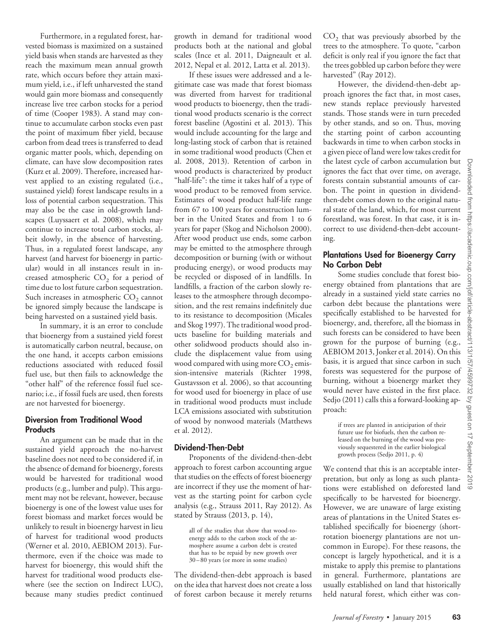Furthermore, in a regulated forest, harvested biomass is maximized on a sustained yield basis when stands are harvested as they reach the maximum mean annual growth rate, which occurs before they attain maximum yield, i.e., if left unharvested the stand would gain more biomass and consequently increase live tree carbon stocks for a period of time (Cooper 1983). A stand may continue to accumulate carbon stocks even past the point of maximum fiber yield, because carbon from dead trees is transferred to dead organic matter pools, which, depending on climate, can have slow decomposition rates (Kurz et al. 2009). Therefore, increased harvest applied to an existing regulated (i.e., sustained yield) forest landscape results in a loss of potential carbon sequestration. This may also be the case in old-growth landscapes (Luyssaert et al. 2008), which may continue to increase total carbon stocks, albeit slowly, in the absence of harvesting. Thus, in a regulated forest landscape, any harvest (and harvest for bioenergy in particular) would in all instances result in increased atmospheric  $CO<sub>2</sub>$  for a period of time due to lost future carbon sequestration. Such increases in atmospheric  $CO<sub>2</sub>$  cannot be ignored simply because the landscape is being harvested on a sustained yield basis.

In summary, it is an error to conclude that bioenergy from a sustained yield forest is automatically carbon neutral, because, on the one hand, it accepts carbon emissions reductions associated with reduced fossil fuel use, but then fails to acknowledge the "other half" of the reference fossil fuel scenario; i.e., if fossil fuels are used, then forests are not harvested for bioenergy.

#### **Diversion from Traditional Wood Products**

An argument can be made that in the sustained yield approach the no-harvest baseline does not need to be considered if, in the absence of demand for bioenergy, forests would be harvested for traditional wood products (e.g., lumber and pulp). This argument may not be relevant, however, because bioenergy is one of the lowest value uses for forest biomass and market forces would be unlikely to result in bioenergy harvest in lieu of harvest for traditional wood products (Werner et al. 2010, AEBIOM 2013). Furthermore, even if the choice was made to harvest for bioenergy, this would shift the harvest for traditional wood products elsewhere (see the section on Indirect LUC), because many studies predict continued

growth in demand for traditional wood products both at the national and global scales (Ince et al. 2011, Daigneault et al. 2012, Nepal et al. 2012, Latta et al. 2013).

If these issues were addressed and a legitimate case was made that forest biomass was diverted from harvest for traditional wood products to bioenergy, then the traditional wood products scenario is the correct forest baseline (Agostini et al. 2013). This would include accounting for the large and long-lasting stock of carbon that is retained in some traditional wood products (Chen et al. 2008, 2013). Retention of carbon in wood products is characterized by product "half-life": the time it takes half of a type of wood product to be removed from service. Estimates of wood product half-life range from 67 to 100 years for construction lumber in the United States and from 1 to 6 years for paper (Skog and Nicholson 2000). After wood product use ends, some carbon may be emitted to the atmosphere through decomposition or burning (with or without producing energy), or wood products may be recycled or disposed of in landfills. In landfills, a fraction of the carbon slowly releases to the atmosphere through decomposition, and the rest remains indefinitely due to its resistance to decomposition (Micales and Skog 1997). The traditional wood products baseline for building materials and other solidwood products should also include the displacement value from using wood compared with using more  $CO<sub>2</sub>$  emission-intensive materials (Richter 1998, Gustavsson et al. 2006), so that accounting for wood used for bioenergy in place of use in traditional wood products must include LCA emissions associated with substitution of wood by nonwood materials (Matthews et al. 2012).

#### **Dividend-Then-Debt**

Proponents of the dividend-then-debt approach to forest carbon accounting argue that studies on the effects of forest bioenergy are incorrect if they use the moment of harvest as the starting point for carbon cycle analysis (e.g., Strauss 2011, Ray 2012). As stated by Strauss (2013, p. 14),

> all of the studies that show that wood-toenergy adds to the carbon stock of the atmosphere assume a carbon debt is created that has to be repaid by new growth over 30 – 80 years (or more in some studies)

The dividend-then-debt approach is based on the idea that harvest does not create a loss of forest carbon because it merely returns

 $CO<sub>2</sub>$  that was previously absorbed by the trees to the atmosphere. To quote, "carbon deficit is only real if you ignore the fact that the trees gobbled up carbon before they were harvested" (Ray 2012).

However, the dividend-then-debt approach ignores the fact that, in most cases, new stands replace previously harvested stands. Those stands were in turn preceded by other stands, and so on. Thus, moving the starting point of carbon accounting backwards in time to when carbon stocks in a given piece of land were low takes credit for the latest cycle of carbon accumulation but ignores the fact that over time, on average, forests contain substantial amounts of carbon. The point in question in dividendthen-debt comes down to the original natural state of the land, which, for most current forestland, was forest. In that case, it is incorrect to use dividend-then-debt accounting.

#### **Plantations Used for Bioenergy Carry No Carbon Debt**

Some studies conclude that forest bioenergy obtained from plantations that are already in a sustained yield state carries no carbon debt because the plantations were specifically established to be harvested for bioenergy, and, therefore, all the biomass in such forests can be considered to have been grown for the purpose of burning (e.g., AEBIOM 2013, Jonker et al. 2014). On this basis, it is argued that since carbon in such forests was sequestered for the purpose of burning, without a bioenergy market they would never have existed in the first place. Sedjo (2011) calls this a forward-looking approach:

> if trees are planted in anticipation of their future use for biofuels, then the carbon released on the burning of the wood was previously sequestered in the earlier biological growth process (Sedjo 2011, p. 4)

We contend that this is an acceptable interpretation, but only as long as such plantations were established on deforested land specifically to be harvested for bioenergy. However, we are unaware of large existing areas of plantations in the United States established specifically for bioenergy (shortrotation bioenergy plantations are not uncommon in Europe). For these reasons, the concept is largely hypothetical, and it is a mistake to apply this premise to plantations in general. Furthermore, plantations are usually established on land that historically held natural forest, which either was con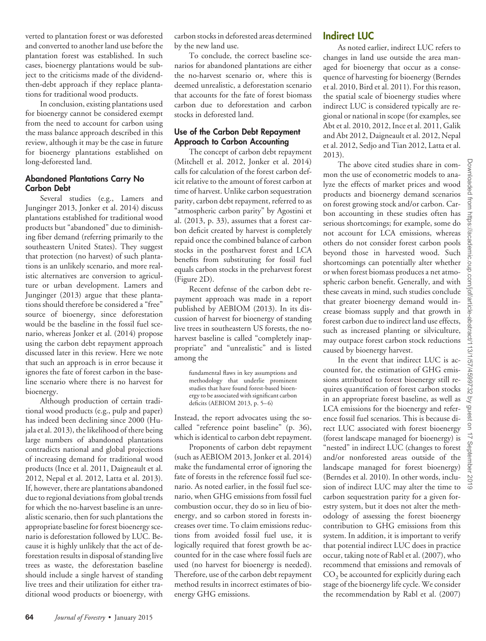verted to plantation forest or was deforested and converted to another land use before the plantation forest was established. In such cases, bioenergy plantations would be subject to the criticisms made of the dividendthen-debt approach if they replace plantations for traditional wood products.

In conclusion, existing plantations used for bioenergy cannot be considered exempt from the need to account for carbon using the mass balance approach described in this review, although it may be the case in future for bioenergy plantations established on long-deforested land.

#### **Abandoned Plantations Carry No Carbon Debt**

Several studies (e.g., Lamers and Junginger 2013, Jonker et al. 2014) discuss plantations established for traditional wood products but "abandoned" due to diminishing fiber demand (referring primarily to the southeastern United States). They suggest that protection (no harvest) of such plantations is an unlikely scenario, and more realistic alternatives are conversion to agriculture or urban development. Lamers and Junginger (2013) argue that these plantations should therefore be considered a "free" source of bioenergy, since deforestation would be the baseline in the fossil fuel scenario, whereas Jonker et al. (2014) propose using the carbon debt repayment approach discussed later in this review. Here we note that such an approach is in error because it ignores the fate of forest carbon in the baseline scenario where there is no harvest for bioenergy.

Although production of certain traditional wood products (e.g., pulp and paper) has indeed been declining since 2000 (Hujala et al. 2013), the likelihood of there being large numbers of abandoned plantations contradicts national and global projections of increasing demand for traditional wood products (Ince et al. 2011, Daigneault et al. 2012, Nepal et al. 2012, Latta et al. 2013). If, however, there are plantations abandoned due to regional deviations from global trends for which the no-harvest baseline is an unrealistic scenario, then for such plantations the appropriate baseline for forest bioenergy scenario is deforestation followed by LUC. Because it is highly unlikely that the act of deforestation results in disposal of standing live trees as waste, the deforestation baseline should include a single harvest of standing live trees and their utilization for either traditional wood products or bioenergy, with

carbon stocks in deforested areas determined by the new land use.

To conclude, the correct baseline scenarios for abandoned plantations are either the no-harvest scenario or, where this is deemed unrealistic, a deforestation scenario that accounts for the fate of forest biomass carbon due to deforestation and carbon stocks in deforested land.

#### **Use of the Carbon Debt Repayment Approach to Carbon Accounting**

The concept of carbon debt repayment (Mitchell et al. 2012, Jonker et al. 2014) calls for calculation of the forest carbon deficit relative to the amount of forest carbon at time of harvest. Unlike carbon sequestration parity, carbon debt repayment, referred to as "atmospheric carbon parity" by Agostini et al. (2013, p. 33), assumes that a forest carbon deficit created by harvest is completely repaid once the combined balance of carbon stocks in the postharvest forest and LCA benefits from substituting for fossil fuel equals carbon stocks in the preharvest forest (Figure 2D).

Recent defense of the carbon debt repayment approach was made in a report published by AEBIOM (2013). In its discussion of harvest for bioenergy of standing live trees in southeastern US forests, the noharvest baseline is called "completely inappropriate" and "unrealistic" and is listed among the

fundamental flaws in key assumptions and methodology that underlie prominent studies that have found forest-based bioenergy to be associated with significant carbon deficits (AEBIOM 2013, p. 5-6)

Instead, the report advocates using the socalled "reference point baseline" (p. 36), which is identical to carbon debt repayment.

Proponents of carbon debt repayment (such as AEBIOM 2013, Jonker et al. 2014) make the fundamental error of ignoring the fate of forests in the reference fossil fuel scenario. As noted earlier, in the fossil fuel scenario, when GHG emissions from fossil fuel combustion occur, they do so in lieu of bioenergy, and so carbon stored in forests increases over time. To claim emissions reductions from avoided fossil fuel use, it is logically required that forest growth be accounted for in the case where fossil fuels are used (no harvest for bioenergy is needed). Therefore, use of the carbon debt repayment method results in incorrect estimates of bioenergy GHG emissions.

## **Indirect LUC**

As noted earlier, indirect LUC refers to changes in land use outside the area managed for bioenergy that occur as a consequence of harvesting for bioenergy (Berndes et al. 2010, Bird et al. 2011). For this reason, the spatial scale of bioenergy studies where indirect LUC is considered typically are regional or national in scope (for examples, see Abt et al. 2010, 2012, Ince et al. 2011, Galik and Abt 2012, Daigneault et al. 2012, Nepal et al. 2012, Sedjo and Tian 2012, Latta et al. 2013).

The above cited studies share in common the use of econometric models to analyze the effects of market prices and wood products and bioenergy demand scenarios on forest growing stock and/or carbon. Carbon accounting in these studies often has serious shortcomings; for example, some do not account for LCA emissions, whereas others do not consider forest carbon pools beyond those in harvested wood. Such shortcomings can potentially alter whether or when forest biomass produces a net atmospheric carbon benefit. Generally, and with these caveats in mind, such studies conclude that greater bioenergy demand would increase biomass supply and that growth in forest carbon due to indirect land use effects, such as increased planting or silviculture, may outpace forest carbon stock reductions caused by bioenergy harvest.

In the event that indirect LUC is accounted for, the estimation of GHG emissions attributed to forest bioenergy still requires quantification of forest carbon stocks in an appropriate forest baseline, as well as LCA emissions for the bioenergy and reference fossil fuel scenarios. This is because direct LUC associated with forest bioenergy (forest landscape managed for bioenergy) is "nested" in indirect LUC (changes to forest and/or nonforested areas outside of the landscape managed for forest bioenergy) (Berndes et al. 2010). In other words, inclusion of indirect LUC may alter the time to carbon sequestration parity for a given forestry system, but it does not alter the methodology of assessing the forest bioenergy contribution to GHG emissions from this system. In addition, it is important to verify that potential indirect LUC does in practice occur, taking note of Rabl et al. (2007), who recommend that emissions and removals of  $CO<sub>2</sub>$  be accounted for explicitly during each stage of the bioenergy life cycle. We consider the recommendation by Rabl et al. (2007)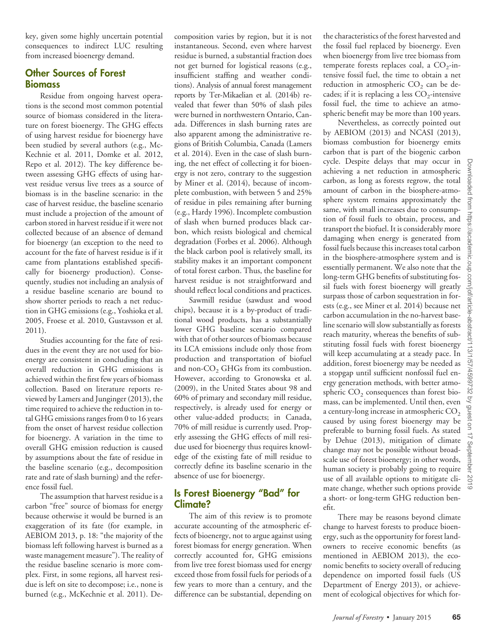key, given some highly uncertain potential consequences to indirect LUC resulting from increased bioenergy demand.

## **Other Sources of Forest Biomass**

Residue from ongoing harvest operations is the second most common potential source of biomass considered in the literature on forest bioenergy. The GHG effects of using harvest residue for bioenergy have been studied by several authors (e.g., Mc-Kechnie et al. 2011, Domke et al. 2012, Repo et al. 2012). The key difference between assessing GHG effects of using harvest residue versus live trees as a source of biomass is in the baseline scenario: in the case of harvest residue, the baseline scenario must include a projection of the amount of carbon stored in harvest residue if it were not collected because of an absence of demand for bioenergy (an exception to the need to account for the fate of harvest residue is if it came from plantations established specifically for bioenergy production). Consequently, studies not including an analysis of a residue baseline scenario are bound to show shorter periods to reach a net reduction in GHG emissions (e.g., Yoshioka et al. 2005, Froese et al. 2010, Gustavsson et al. 2011).

Studies accounting for the fate of residues in the event they are not used for bioenergy are consistent in concluding that an overall reduction in GHG emissions is achieved within the first few years of biomass collection. Based on literature reports reviewed by Lamers and Junginger (2013), the time required to achieve the reduction in total GHG emissions ranges from 0 to 16 years from the onset of harvest residue collection for bioenergy. A variation in the time to overall GHG emission reduction is caused by assumptions about the fate of residue in the baseline scenario (e.g., decomposition rate and rate of slash burning) and the reference fossil fuel.

The assumption that harvest residue is a carbon "free" source of biomass for energy because otherwise it would be burned is an exaggeration of its fate (for example, in AEBIOM 2013, p. 18: "the majority of the biomass left following harvest is burned as a waste management measure"). The reality of the residue baseline scenario is more complex. First, in some regions, all harvest residue is left on site to decompose; i.e., none is burned (e.g., McKechnie et al. 2011). Decomposition varies by region, but it is not instantaneous. Second, even where harvest residue is burned, a substantial fraction does not get burned for logistical reasons (e.g., insufficient staffing and weather conditions). Analysis of annual forest management reports by Ter-Mikaelian et al. (2014b) revealed that fewer than 50% of slash piles were burned in northwestern Ontario, Canada. Differences in slash burning rates are also apparent among the administrative regions of British Columbia, Canada (Lamers et al. 2014). Even in the case of slash burning, the net effect of collecting it for bioenergy is not zero, contrary to the suggestion by Miner et al. (2014), because of incomplete combustion, with between 5 and 25% of residue in piles remaining after burning (e.g., Hardy 1996). Incomplete combustion of slash when burned produces black carbon, which resists biological and chemical degradation (Forbes et al. 2006). Although the black carbon pool is relatively small, its stability makes it an important component of total forest carbon. Thus, the baseline for harvest residue is not straightforward and should reflect local conditions and practices.

Sawmill residue (sawdust and wood chips), because it is a by-product of traditional wood products, has a substantially lower GHG baseline scenario compared with that of other sources of biomass because its LCA emissions include only those from production and transportation of biofuel and non- $CO<sub>2</sub>$  GHGs from its combustion. However, according to Gronowska et al. (2009), in the United States about 98 and 60% of primary and secondary mill residue, respectively, is already used for energy or other value-added products; in Canada, 70% of mill residue is currently used. Properly assessing the GHG effects of mill residue used for bioenergy thus requires knowledge of the existing fate of mill residue to correctly define its baseline scenario in the absence of use for bioenergy.

## **Is Forest Bioenergy "Bad" for Climate?**

The aim of this review is to promote accurate accounting of the atmospheric effects of bioenergy, not to argue against using forest biomass for energy generation. When correctly accounted for, GHG emissions from live tree forest biomass used for energy exceed those from fossil fuels for periods of a few years to more than a century, and the difference can be substantial, depending on

the characteristics of the forest harvested and the fossil fuel replaced by bioenergy. Even when bioenergy from live tree biomass from temperate forests replaces coal, a  $CO_2$ -intensive fossil fuel, the time to obtain a net reduction in atmospheric  $CO<sub>2</sub>$  can be decades; if it is replacing a less  $CO_2$ -intensive fossil fuel, the time to achieve an atmospheric benefit may be more than 100 years.

Nevertheless, as correctly pointed out by AEBIOM (2013) and NCASI (2013), biomass combustion for bioenergy emits carbon that is part of the biogenic carbon cycle. Despite delays that may occur in achieving a net reduction in atmospheric carbon, as long as forests regrow, the total amount of carbon in the biosphere-atmosphere system remains approximately the same, with small increases due to consumption of fossil fuels to obtain, process, and transport the biofuel. It is considerably more damaging when energy is generated from fossil fuels because this increases total carbon in the biosphere-atmosphere system and is essentially permanent. We also note that the long-term GHG benefits of substituting fossil fuels with forest bioenergy will greatly surpass those of carbon sequestration in forests (e.g., see Miner et al. 2014) because net carbon accumulation in the no-harvest baseline scenario will slow substantially as forests reach maturity, whereas the benefits of substituting fossil fuels with forest bioenergy will keep accumulating at a steady pace. In addition, forest bioenergy may be needed as a stopgap until sufficient nonfossil fuel energy generation methods, with better atmospheric  $CO<sub>2</sub>$  consequences than forest biomass, can be implemented. Until then, even a century-long increase in atmospheric  $CO<sub>2</sub>$ caused by using forest bioenergy may be preferable to burning fossil fuels. As stated by Dehue (2013), mitigation of climate change may not be possible without broadscale use of forest bioenergy; in other words, human society is probably going to require use of all available options to mitigate climate change, whether such options provide a short- or long-term GHG reduction benefit.

There may be reasons beyond climate change to harvest forests to produce bioenergy, such as the opportunity for forest landowners to receive economic benefits (as mentioned in AEBIOM 2013), the economic benefits to society overall of reducing dependence on imported fossil fuels (US Department of Energy 2013), or achievement of ecological objectives for which for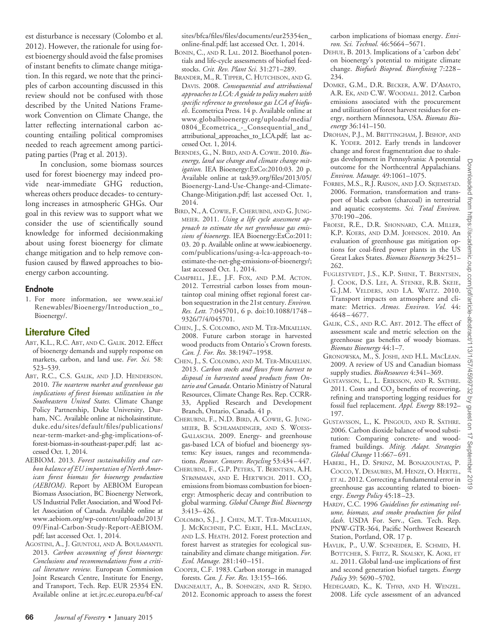est disturbance is necessary (Colombo et al. 2012). However, the rationale for using forest bioenergy should avoid the false promises of instant benefits to climate change mitigation. In this regard, we note that the principles of carbon accounting discussed in this review should not be confused with those described by the United Nations Framework Convention on Climate Change, the latter reflecting international carbon accounting entailing political compromises needed to reach agreement among participating parties (Prag et al. 2013).

In conclusion, some biomass sources used for forest bioenergy may indeed provide near-immediate GHG reduction, whereas others produce decades- to centurylong increases in atmospheric GHGs. Our goal in this review was to support what we consider the use of scientifically sound knowledge for informed decisionmaking about using forest bioenergy for climate change mitigation and to help remove confusion caused by flawed approaches to bioenergy carbon accounting.

#### **Endnote**

1. For more information, see [www.seai.ie/](http://www.seai.ie/Renewables/Bioenergy/Introduction_to_Bioenergy/) [Renewables/Bioenergy/Introduction\\_to\\_](http://www.seai.ie/Renewables/Bioenergy/Introduction_to_Bioenergy/) [Bioenergy/.](http://www.seai.ie/Renewables/Bioenergy/Introduction_to_Bioenergy/)

#### **Literature Cited**

- ABT, K.L., R.C. ABT, AND C. GALIK. 2012. Effect of bioenergy demands and supply response on markets, carbon, and land use. *For. Sci.* 58: 523–539.
- ABT, R.C., C.S. GALIK, AND J.D. HENDERSON. 2010. *The nearterm market and greenhouse gas implications of forest biomass utilization in the Southeastern United States.* Climate Change Policy Partnership, Duke University, Durham, NC. Available online at [nicholasinstitute.](http://nicholasinstitute.duke.edu/sites/default/files/publications/near-term-market-and-ghg-implications-of-forest-biomass-in-southeast-paper.pdf) [duke.edu/sites/default/files/publications/](http://nicholasinstitute.duke.edu/sites/default/files/publications/near-term-market-and-ghg-implications-of-forest-biomass-in-southeast-paper.pdf) [near-term-market-and-ghg-implications-of](http://nicholasinstitute.duke.edu/sites/default/files/publications/near-term-market-and-ghg-implications-of-forest-biomass-in-southeast-paper.pdf)[forest-biomass-in-southeast-paper.pdf;](http://nicholasinstitute.duke.edu/sites/default/files/publications/near-term-market-and-ghg-implications-of-forest-biomass-in-southeast-paper.pdf) last accessed Oct. 1, 2014.
- AEBIOM. 2013. *Forest sustainability and carbon balance of EU importation of North American forest biomass for bioenergy production (AEBIOM)*. Report by AEBIOM European Biomass Association, BC Bioenergy Network, US Industrial Pellet Association, and Wood Pellet Association of Canada. Available online at [www.aebiom.org/wp-content/uploads/2013/](http://www.aebiom.org/wp-content/uploads/2013/09/Final-Carbon-Study-Report-AEBIOM.pdf) [09/Final-Carbon-Study-Report-AEBIOM.](http://www.aebiom.org/wp-content/uploads/2013/09/Final-Carbon-Study-Report-AEBIOM.pdf) [pdf;](http://www.aebiom.org/wp-content/uploads/2013/09/Final-Carbon-Study-Report-AEBIOM.pdf) last accessed Oct. 1, 2014.
- AGOSTINI, A., J. GIUNTOLI, AND A. BOULAMANTI. 2013. *Carbon accounting of forest bioenergy: Conclusions and recommendations from a critical literature review.* European Commission Joint Research Centre, Institute for Energy, and Transport, Tech. Rep. EUR 25354 EN. Available online at [iet.jrc.ec.europa.eu/bf-ca/](http://iet.jrc.ec.europa.eu/bf-ca/sites/bfca/files/files/documents/eur25354en_online-final.pdf)

[sites/bfca/files/files/documents/eur25354en\\_](http://iet.jrc.ec.europa.eu/bf-ca/sites/bfca/files/files/documents/eur25354en_online-final.pdf) [online-final.pdf;](http://iet.jrc.ec.europa.eu/bf-ca/sites/bfca/files/files/documents/eur25354en_online-final.pdf) last accessed Oct. 1, 2014.

- BONIN, C., AND R. LAL. 2012. Bioethanol potentials and life-cycle assessments of biofuel feedstocks. *Crit. Rev. Plant Sci.* 31:271–289.
- BRANDER, M., R. TIPPER, C. HUTCHISON, AND G. DAVIS. 2008. *Consequential and attributional approaches to LCA: A guide to policy makers with specific reference to greenhouse gas LCA of biofuels*. Ecometrica Press. 14 p. Available online at [www.globalbioenergy.org/uploads/media/](http://www.globalbioenergy.org/uploads/media/0804_Ecometrica_-_Consequential_and_attributional_approaches_to_LCA.pdf) [0804\\_Ecometrica\\_-\\_Consequential\\_and\\_](http://www.globalbioenergy.org/uploads/media/0804_Ecometrica_-_Consequential_and_attributional_approaches_to_LCA.pdf) [attributional\\_approaches\\_to\\_LCA.pdf;](http://www.globalbioenergy.org/uploads/media/0804_Ecometrica_-_Consequential_and_attributional_approaches_to_LCA.pdf) last accessed Oct. 1, 2014.
- BERNDES, G., N. BIRD, AND A. COWIE. 2010. *Bioenergy, land use change and climate change mitigation.* IEA Bioenergy:ExCo:2010:03. 20 p. Available online at [task39.org/files/2013/05/](http://task39.org/files/2013/05/Bioenergy-Land-Use-Change-and-Climate-Change-Mitigation.pdf) [Bioenergy-Land-Use-Change-and-Climate-](http://task39.org/files/2013/05/Bioenergy-Land-Use-Change-and-Climate-Change-Mitigation.pdf)[Change-Mitigation.pdf;](http://task39.org/files/2013/05/Bioenergy-Land-Use-Change-and-Climate-Change-Mitigation.pdf) last accessed Oct. 1, 2014.
- BIRD, N., A. COWIE, F. CHERUBINI, AND G. JUNG-MEIER. 2011. *Using a life cycle assessment approach to estimate the net greenhouse gas emissions of bioenergy*. IEA Bioenergy:ExCo:2011: 03. 20 p. Available online at [www.ieabioenergy.](http://www.ieabioenergy.com/publications/using-a-lca-approach-to-estimate-the-net-ghg-emissions-of-bioenergy/) [com/publications/using-a-lca-approach-to](http://www.ieabioenergy.com/publications/using-a-lca-approach-to-estimate-the-net-ghg-emissions-of-bioenergy/)[estimate-the-net-ghg-emissions-of-bioenergy/;](http://www.ieabioenergy.com/publications/using-a-lca-approach-to-estimate-the-net-ghg-emissions-of-bioenergy/) last accessed Oct. 1, 2014.
- CAMPBELL, J.E., J.F. FOX, AND P.M. ACTON. 2012. Terrestrial carbon losses from mountaintop coal mining offset regional forest carbon sequestration in the 21st century. *Environ. Res. Lett.* 7:045701, 6 p. doi:10.1088/1748 – 9326/7/4/045701.
- CHEN, J., S. COLOMBO, AND M. TER-MIKAELIAN. 2008. Future carbon storage in harvested wood products from Ontario's Crown forests. *Can. J. For. Res.* 38:1947–1958.
- CHEN, J., S. COLOMBO, AND M. TER-MIKAELIAN. 2013. *Carbon stocks and flows from harvest to disposal in harvested wood products from Ontario and Canada*. Ontario Ministry of Natural Resources, Climate Change Res. Rep. CCRR-33, Applied Research and Development Branch, Ontario, Canada. 41 p.
- CHERUBINI, F., N.D. BIRD, A. COWIE, G. JUNG-MEIER, B. SCHLAMADINGER, AND S. WOESS-GALLASCHA. 2009. Energy- and greenhouse gas-based LCA of biofuel and bioenergy systems: Key issues, ranges and recommendations. *Resour. Conserv. Recycling* 53:434 – 447.
- CHERUBINI, F., G.P. PETERS, T. BERNTSEN, A.H. STRØMMAN, AND E. HERTWICH.  $2011.$   $CO<sub>2</sub>$ emissions from biomass combustion for bioenergy: Atmospheric decay and contribution to global warming. *Global Change Biol. Bioenergy* 3:413– 426.
- COLOMBO, S.J., J. CHEN, M.T. TER-MIKAELIAN, J. MCKECHNIE, P.C. ELKIE, H.L. MACLEAN, AND L.S. HEATH. 2012. Forest protection and forest harvest as strategies for ecological sustainability and climate change mitigation. *For. Ecol. Manage.* 281:140 –151.
- COOPER, C.F. 1983. Carbon storage in managed forests. *Can. J. For. Res.* 13:155–166.
- DAIGNEAULT, A., B. SOHNGEN, AND R. SEDJO. 2012. Economic approach to assess the forest

carbon implications of biomass energy. *Environ. Sci. Technol.* 46:5664 –5671.

- DEHUE, B. 2013. Implications of a 'carbon debt' on bioenergy's potential to mitigate climate change. *Biofuels Bioprod. Biorefining* 7:228 – 234.
- DOMKE, G.M., D.R. BECKER, A.W. D'AMATO, A.R. EK, AND C.W. WOODALL. 2012. Carbon emissions associated with the procurement and utilization of forest harvest residues for energy, northern Minnesota, USA. *Biomass Bioenergy* 36:141–150.
- DROHAN, P.J., M. BRITTINGHAM, J. BISHOP, AND K. YODER. 2012. Early trends in landcover change and forest fragmentation due to shalegas development in Pennsylvania: A potential outcome for the Northcentral Appalachians. *Environ. Manage.* 49:1061–1075.
- FORBES, M.S., R.J. RAISON, AND J.O. SKJEMSTAD. 2006. Formation, transformation and transport of black carbon (charcoal) in terrestrial and aquatic ecosystems. *Sci. Total Environ.* 370:190 –206.
- FROESE, R.E., D.R. SHONNARD, C.A. MILLER, K.P. KOERS, AND D.M. JOHNSON. 2010. An evaluation of greenhouse gas mitigation options for coal-fired power plants in the US Great Lakes States. *Biomass Bioenergy* 34:251– 262.
- FUGLESTVEDT, J.S., K.P. SHINE, T. BERNTSEN, J. COOK, D.S. LEE, A. STENKE, R.B. SKEIE, G.J.M. VELDERS, AND I.A. WAITZ. 2010. Transport impacts on atmosphere and climate: Metrics. *Atmos. Environ. Vol.* 44: 4648 – 4677.
- GALIK, C.S., AND R.C. ABT. 2012. The effect of assessment scale and metric selection on the greenhouse gas benefits of woody biomass. *Biomass Bioenergy* 44:1–7.
- GRONOWSKA, M., S. JOSHI, AND H.L. MACLEAN. 2009. A review of US and Canadian biomass supply studies. *BioResources* 4:341–369.
- GUSTAVSSON, L., L. ERIKSSON, AND R. SATHRE. 2011. Costs and  $CO<sub>2</sub>$  benefits of recovering, refining and transporting logging residues for fossil fuel replacement. *Appl. Energy* 88:192– 197.
- GUSTAVSSON, L., K. PINGOUD, AND R. SATHRE. 2006. Carbon dioxide balance of wood substitution: Comparing concrete- and woodframed buildings. *Mitig. Adapt. Strategies Global Change* 11:667– 691.
- HABERL, H., D. SPRINZ, M. BONAZOUNTAS, P. COCCO, Y. DESAUBIES, M. HENZE, O. HERTEL, ET AL. 2012. Correcting a fundamental error in greenhouse gas accounting related to bioenergy. *Energy Policy* 45:18 –23.
- HARDY, C.C. 1996 *Guidelines for estimating volume, biomass, and smoke production for piled slash*. USDA For. Serv., Gen. Tech. Rep. PNW-GTR-364, Pacific Northwest Research Station, Portland, OR. 17 p.
- HAVLIK, P., U.W. SCHNEIDER, E. SCHMID, H. BOTTCHER, S. FRITZ, R. SKALSKY, K. AOKI, ET AL. 2011. Global land-use implications of first and second generation biofuel targets. *Energy Policy* 39: 5690 –5702.
- HEDEGAARD, K., K. THYØ, AND H. WENZEL. 2008. Life cycle assessment of an advanced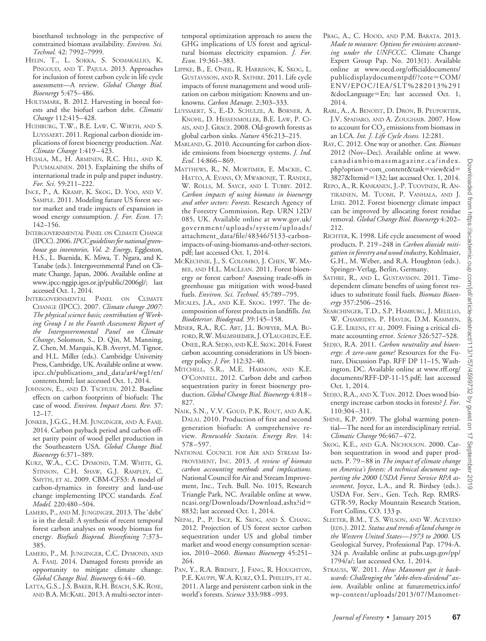bioethanol technology in the perspective of constrained biomass availability. *Environ. Sci. Technol.* 42: 7992–7999.

- HELIN, T., L. SOKKA, S. SOIMAKALLIO, K. PINGOUD, AND T. PAJULA. 2013. Approaches for inclusion of forest carbon cycle in life cycle assessment—A review. *Global Change Biol. Bioenergy* 5:475– 486.
- HOLTSMARK, B. 2012. Harvesting in boreal forests and the biofuel carbon debt. *Climatic Change* 112:415– 428.
- HUDIBURG, T.W., B.E. LAW, C. WIRTH, AND S. LUYSSAERT. 2011. Regional carbon dioxide implications of forest bioenergy production. *Nat. Climate Change* 1:419 – 423.
- HUJALA, M., H. ARMINEN, R.C. HILL, AND K. PUUMALAINEN. 2013. Explaining the shifts of international trade in pulp and paper industry. *For. Sci.* 59:211–222.
- INCE, P., A. KRAMP, K. SKOG, D. YOO, AND V. SAMPLE. 2011. Modeling future US forest sector market and trade impacts of expansion in wood energy consumption. *J. For. Econ.* 17: 142–156.
- INTERGOVERNMENTAL PANEL ON CLIMATE CHANGE (IPCC). 2006.*IPCC guidelines for national greenhouse gas inventories, Vol. 2: Energy*, Eggleston, H.S., L. Buenida, K. Miwa, T. Ngara, and K. Tanabe (eds.). Intergovernmental Panel on Climate Change, Japan, 2006. Available online at [www.ipcc-nggip.iges.or.jp/public/2006gl/;](http://www.ipcc-nggip.iges.or.jp/public/2006gl/) last accessed Oct. 1, 2014.
- INTERGOVERNMENTAL PANEL ON CLIMATE CHANGE (IPCC). 2007. *Climate change 2007: The physical science basis; contribution of Working Group I to the Fourth Assessment Report of the Intergovernmental Panel on Climate Change*, Solomon, S., D. Qin, M. Manning, Z. Chen, M. Marquis, K.B. Averyt, M. Tignor, and H.L. Miller (eds.). Cambridge University Press, Cambridge, UK. Available online at [www.](http://www.ipcc.ch/publications_and_data/ar4/wg1/en/contents.html) [ipcc.ch/publications\\_and\\_data/ar4/wg1/en/](http://www.ipcc.ch/publications_and_data/ar4/wg1/en/contents.html) [contents.html;](http://www.ipcc.ch/publications_and_data/ar4/wg1/en/contents.html) last accessed Oct. 1, 2014.
- JOHNSON, E., AND D. TSCHUDI. 2012. Baseline effects on carbon footprints of biofuels: The case of wood. *Environ. Impact Assess. Rev.* 37: 12–17.
- JONKER, J.G.G., H.M. JUNGINGER, AND A. FAAIJ. 2014. Carbon payback period and carbon offset parity point of wood pellet production in the Southeastern USA. *Global Change Biol. Bioenergy* 6:371–389.
- KURZ, W.A., C.C. DYMOND, T.M. WHITE, G. STINSON, C.H. SHAW, G.J. RAMPLEY, C. SMYTH, ET AL. 2009. CBM-CFS3: A model of carbon-dynamics in forestry and land-use change implementing IPCC standards. *Ecol. Model.* 220:480 –504.
- LAMERS, P., AND M. JUNGINGER. 2013. The 'debt' is in the detail: A synthesis of recent temporal forest carbon analyses on woody biomass for energy. *Biofuels Bioprod. Biorefining* 7:373– 385.
- LAMERS, P., M. JUNGINGER, C.C. DYMOND, AND A. FAAIJ. 2014. Damaged forests provide an opportunity to mitigate climate change. *Global Change Biol. Bioenergy* 6:44 – 60.
- LATTA, G.S., J.S. BAKER, R.H. BEACH, S.K. ROSE, AND B.A. MCKARL. 2013. A multi-sector inter-

temporal optimization approach to assess the GHG implications of US forest and agricultural biomass electricity expansion. *J. For. Econ.* 19:361–383.

- LIPPKE, B., E. ONEIL, R. HARRISON, K. SKOG, L. GUSTAVSSON, AND R. SATHRE. 2011. Life cycle impacts of forest management and wood utilization on carbon mitigation: Knowns and unknowns. *Carbon Manage.* 2:303–333.
- LUYSSAERT, S., E.-D. SCHULZE, A. BORNER, A. KNOHL, D. HESSENMOLLER, B.E. LAW, P. CI-AIS, AND J. GRACE. 2008. Old-growth forests as global carbon sinks. *Nature* 456:213–215.
- MARLAND, G. 2010. Accounting for carbon dioxide emissions from bioenergy systems. *J. Ind. Ecol.* 14:866 – 869.
- MATTHEWS, R., N. MORTIMER, E. MACKIE, C. HATTO, A. EVANS, O. MWABONJE, T. RANDLE, W. ROLLS, M. SAYCE, AND I. TUBBY. 2012. *Carbon impacts of using biomass in bioenergy and other sectors: Forests.* Research Agency of the Forestry Commission, Rep. URN 12D/ 085, UK. Available online at [www.gov.uk/](http://www.gov.uk/government/uploads/system/uploads/attachment_data/file/48346/5133-carbon-impacts-of-using-biomanss-and-other-sectors.pdf) [government/uploads/system/uploads/](http://www.gov.uk/government/uploads/system/uploads/attachment_data/file/48346/5133-carbon-impacts-of-using-biomanss-and-other-sectors.pdf) [attachment\\_data/file/48346/5133-carbon](http://www.gov.uk/government/uploads/system/uploads/attachment_data/file/48346/5133-carbon-impacts-of-using-biomanss-and-other-sectors.pdf)[impacts-of-using-biomanss-and-other-sectors.](http://www.gov.uk/government/uploads/system/uploads/attachment_data/file/48346/5133-carbon-impacts-of-using-biomanss-and-other-sectors.pdf) [pdf;](http://www.gov.uk/government/uploads/system/uploads/attachment_data/file/48346/5133-carbon-impacts-of-using-biomanss-and-other-sectors.pdf) last accessed Oct. 1, 2014.
- MCKECHNIE, J., S. COLOMBO, J. CHEN, W. MA-BEE, AND H.L. MACLEAN. 2011. Forest bioenergy or forest carbon? Assessing trade-offs in greenhouse gas mitigation with wood-based fuels. *Environ. Sci. Technol.* 45:789 –795.
- MICALES, J.A., AND K.E. SKOG. 1997. The decomposition of forest products in landfills. *Int. Biodeterior. Biodegrad.* 39:145–158.
- MINER, R.A., R.C. ABT, J.L. BOWYER, M.A. BU-FORD, R.W.MALMSHEIMER, J. O'LAUGHLIN, E.E. ONEIL, R.A. SEDJO, AND K.E. SKOG. 2014. Forest carbon accounting considerations in US bioenergy policy. *J. For.* 112:32– 40.
- MITCHELL, S.R., M.E. HARMON, AND K.E. O'CONNELL. 2012. Carbon debt and carbon sequestration parity in forest bioenergy production. *Global Change Biol. Bioenergy* 4:818 – 827.
- NAIK, S.N., V.V. GOUD, P.K. ROUT, AND A.K. DALAI. 2010. Production of first and second generation biofuels: A comprehensive review. *Renewable Sustain. Energy Rev.* 14: 578 –597.
- NATIONAL COUNCIL FOR AIR AND STREAM IM-PROVEMENT, INC. 2013. *A review of biomass carbon accounting methods and implications*. National Council for Air and Stream Improvement, Inc., Tech. Bull. No. 1015, Research Triangle Park, NC. Available online at [www.](http://www.ncasi.org/Downloads/Download.ashx?id=8832) [ncasi.org/Downloads/Download.ashx?id](http://www.ncasi.org/Downloads/Download.ashx?id=8832)- [8832;](http://www.ncasi.org/Downloads/Download.ashx?id=8832) last accessed Oct. 1, 2014.
- NEPAL, P., P. INCE, K. SKOG, AND S. CHANG. 2012. Projection of US forest sector carbon sequestration under US and global timber market and wood energy consumption scenarios, 2010 –2060. *Biomass Bioenergy* 45:251– 264.
- PAN, Y., R.A. BIRDSEY, J. FANG, R. HOUGHTON, P.E. KAUPPI, W.A. KURZ, O.L. PHILLIPS, ET AL. 2011. A large and persistent carbon sink in the world's forests. *Science* 333:988 –993.
- PRAG, A., C. HOOD, AND P.M. BARATA. 2013. *Made to measure: Options for emissions accounting under the UNFCCC*. Climate Change Expert Group Pap. No. 2013(1). Available online at [www.oecd.org/officialdocuments/](http://www.oecd.org/officialdocuments/publicdisplaydocumentpdf/?cote=COM/ENV/EPOC/IEA/SLT%282013%291&docLanguage=En) [publicdisplaydocumentpdf/?cote](http://www.oecd.org/officialdocuments/publicdisplaydocumentpdf/?cote=COM/ENV/EPOC/IEA/SLT%282013%291&docLanguage=En)-COM/ [ENV/EPOC/IEA/SLT%282013%291](http://www.oecd.org/officialdocuments/publicdisplaydocumentpdf/?cote=COM/ENV/EPOC/IEA/SLT%282013%291&docLanguage=En) [&docLanguage](http://www.oecd.org/officialdocuments/publicdisplaydocumentpdf/?cote=COM/ENV/EPOC/IEA/SLT%282013%291&docLanguage=En)-En; last accessed Oct. 1, 2014.
- RABL, A., A. BENOIST, D. DRON, B. PEUPORTIER, J.V. SPADARO, AND A. ZOUGHAIB. 2007. How to account for  $CO<sub>2</sub>$  emissions from biomass in an LCA. *Int. J. Life Cycle Assess.* 12:281.
- RAY, C. 2012. One way or another. *Can. Biomass* 2012 (Nov–Dec). Available online at [www.](http://www.canadianbiomassmagazine.ca/index.php?option=com_content&task=view&id=3827&Itemid=132) [canadianbiomassmagazine.ca/index.](http://www.canadianbiomassmagazine.ca/index.php?option=com_content&task=view&id=3827&Itemid=132) php?option=[com\\_content&task](http://www.canadianbiomassmagazine.ca/index.php?option=com_content&task=view&id=3827&Itemid=132)=view&id= [3827&Itemid](http://www.canadianbiomassmagazine.ca/index.php?option=com_content&task=view&id=3827&Itemid=132)-132; last accessed Oct. 1, 2014.
- REPO, A., R. KANKANEN, J.-P. TUOVINEN, R. AN-TIKAINEN, M. TUOMI, P. VANHALA, AND J. LISKI. 2012. Forest bioenergy climate impact can be improved by allocating forest residue removal. *Global Change Biol. Bioenergy* 4:202– 212.
- RICHTER, K. 1998. Life cycle assessment of wood products. P. 219 –248 in *Carbon dioxide mitigation in forestry and wood industry*, Kohlmaier, G.H., M. Weber, and R.A. Houghton (eds.). Springer-Verlag, Berlin, Germany.
- SATHRE, R., AND L. GUSTAVSSON. 2011. Timedependent climate benefits of using forest residues to substitute fossil fuels. *Biomass Bioenergy* 357:2506 –2516.
- SEARCHINGER, T.D., S.P. HAMBURG, J. MELILLO, W. CHAMEIDES, P. HAVLIK, D.M. KAMMEN, G.E. LIKENS, ET AL. 2009. Fixing a critical climate accounting error. *Science* 326:527–528.
- SEDJO, R.A. 2011. *Carbon neutrality and bioenergy: A zero-sum game?* Resources for the Future, Discussion Pap. RFF DP 11–15, Washington, DC. Available online at [www.rff.org/](http://www.rff.org/documents/RFF-DP-11-15.pdf) [documents/RFF-DP-11-15.pdf;](http://www.rff.org/documents/RFF-DP-11-15.pdf) last accessed Oct. 1, 2014.
- SEDJO, R.A., AND X. TIAN. 2012. Does wood bioenergy increase carbon stocks in forests? *J. For.* 110:304 –311.
- SHINE, K.P. 2009. The global warming potential—The need for an interdisciplinary retrial. *Climatic Change* 96:467– 472.
- SKOG, K.E., AND G.A. NICHOLSON. 2000. Carbon sequestration in wood and paper products. P. 79 – 88 in *The impact of climate change on America's forests: A technical document supporting the 2000 USDA Forest Service RPA assessment*, Joyce, L.A., and R. Birdsey (eds.). USDA For. Serv., Gen. Tech. Rep. RMRS-GTR-59, Rocky Mountain Research Station, Fort Collins, CO. 133 p.
- SLEETER, B.M., T.S. WILSON, AND W. ACEVEDO (EDS.). 2012. *Status and trends of land change in the Western United States—1973 to 2000.* US Geological Survey, Professional Pap. 1794-A. 324 p. Available online at [pubs.usgs.gov/pp/](http://pubs.usgs.gov/pp/1794/a/) [1794/a/;](http://pubs.usgs.gov/pp/1794/a/) last accessed Oct. 1, 2014.
- STRAUSS, W. 2011. *How Manomet got it backwards: Challenging the "debt-then-dividend" axiom*. Available online at [futuremetrics.info/](http://futuremetrics.info/wp-content/uploads/2013/07/Manomet-Got-it-Backwards.pdf) [wp-content/uploads/2013/07/Manomet-](http://futuremetrics.info/wp-content/uploads/2013/07/Manomet-Got-it-Backwards.pdf)